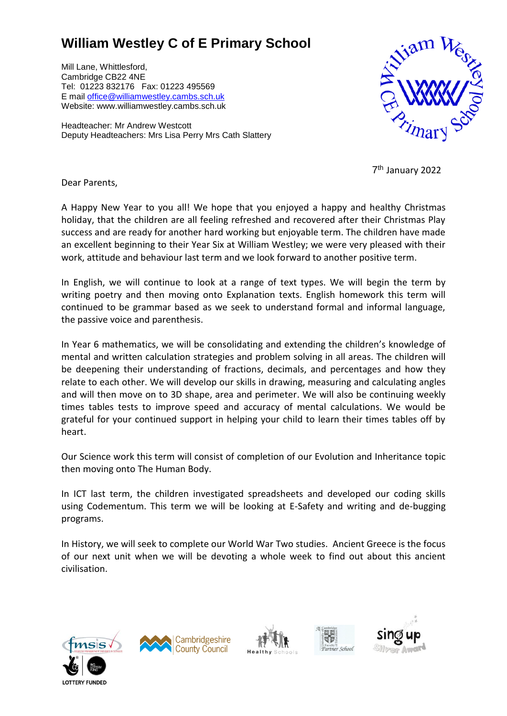## **William Westley C of E Primary School**

Mill Lane, Whittlesford, Cambridge CB22 4NE Tel: 01223 832176 Fax: 01223 495569 E mail [office@williamwestley.cambs.sch.uk](mailto:office@williamwestley.cambs.sch.uk) Website: www.williamwestley.cambs.sch.uk

Headteacher: Mr Andrew Westcott Deputy Headteachers: Mrs Lisa Perry Mrs Cath Slattery



7 th January 2022

Dear Parents,

A Happy New Year to you all! We hope that you enjoyed a happy and healthy Christmas holiday, that the children are all feeling refreshed and recovered after their Christmas Play success and are ready for another hard working but enjoyable term. The children have made an excellent beginning to their Year Six at William Westley; we were very pleased with their work, attitude and behaviour last term and we look forward to another positive term.

In English, we will continue to look at a range of text types. We will begin the term by writing poetry and then moving onto Explanation texts. English homework this term will continued to be grammar based as we seek to understand formal and informal language, the passive voice and parenthesis.

In Year 6 mathematics, we will be consolidating and extending the children's knowledge of mental and written calculation strategies and problem solving in all areas. The children will be deepening their understanding of fractions, decimals, and percentages and how they relate to each other. We will develop our skills in drawing, measuring and calculating angles and will then move on to 3D shape, area and perimeter. We will also be continuing weekly times tables tests to improve speed and accuracy of mental calculations. We would be grateful for your continued support in helping your child to learn their times tables off by heart.

Our Science work this term will consist of completion of our Evolution and Inheritance topic then moving onto The Human Body.

In ICT last term, the children investigated spreadsheets and developed our coding skills using Codementum. This term we will be looking at E-Safety and writing and de-bugging programs.

In History, we will seek to complete our World War Two studies. Ancient Greece is the focus of our next unit when we will be devoting a whole week to find out about this ancient civilisation.